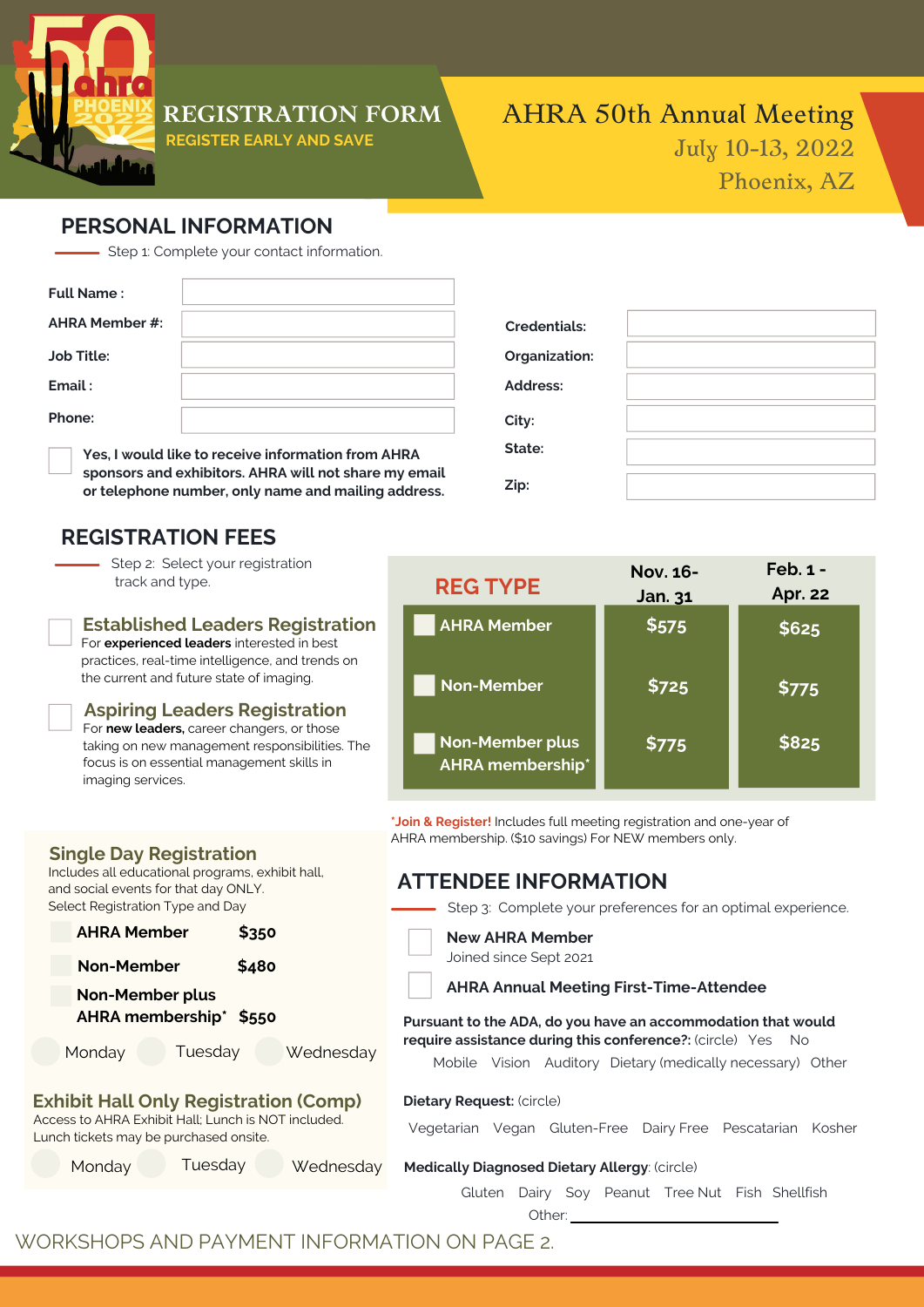

### **REGISTRATION FORM**

**REGISTER EARLY AND SAVE**

# AHRA 50th Annual Meeting July 10-13, 2022 Phoenix, AZ

### **PERSONAL INFORMATION**

- Step 1: Complete your contact information.

| <b>Full Name:</b>     |                                                    |
|-----------------------|----------------------------------------------------|
| <b>AHRA Member #:</b> |                                                    |
| <b>Job Title:</b>     |                                                    |
| Email:                |                                                    |
| Phone:                |                                                    |
|                       | Yes, I would like to receive information from AHRA |

**sponsors and exhibitors. AHRA will not share my email or telephone number, only name and mailing address.**

### **REGISTRATION FEES**

**Single Day Registration**

and social events for that day ONLY. Select Registration Type and Day

Includes all educational programs, exhibit hall,

**AHRA Member \$350**

**Non-Member \$480**

**AHRA membership\* \$550**

**Exhibit Hall Only Registration (Comp)** Access to AHRA Exhibit Hall; Lunch is NOT included.

Monday Tuesday Wednesday

Monday Tuesday Wednesday

Lunch tickets may be purchased onsite.

**Non-Member plus**

- Step 2: Select your registration track and type.
- **Established Leaders Registration** For **experienced leaders** interested in best practices, real-time intelligence, and trends on

the current and future state of imaging.

**Aspiring Leaders Registration** For **new leaders,** career changers, or those taking on new management responsibilities. The focus is on essential management skills in imaging services.

| <b>Credentials:</b> |  |
|---------------------|--|
| Organization:       |  |
| Address:            |  |
| City:               |  |
| State:              |  |
| Zip:                |  |

| <b>REG TYPE</b>                                   | <b>Nov. 16-</b><br>Jan. 31 | $Feb.1 -$<br><b>Apr. 22</b> |
|---------------------------------------------------|----------------------------|-----------------------------|
| <b>AHRA Member</b>                                | \$575                      | \$625                       |
| <b>Non-Member</b>                                 | \$725                      | \$775                       |
| <b>Non-Member plus</b><br><b>AHRA</b> membership* | \$775                      | \$825                       |

**\*Join & Register!** Includes full meeting registration and one-year of AHRA membership. (\$10 savings) For NEW members only.

### **ATTENDEE INFORMATION**

Step 3: Complete your preferences for an optimal experience.

#### **New AHRA Member**

Joined since Sept 2021

#### **AHRA Annual Meeting First-Time-Attendee**

**Pursuant to the ADA, do you have an accommodation that would require assistance during this conference?:** (circle) Yes No

Mobile Vision Auditory Dietary (medically necessary) Other

#### **Dietary Request:** (circle)

Vegetarian Vegan Gluten-Free Dairy Free Pescatarian Kosher

### **Medically Diagnosed Dietary Allergy**: (circle)

Gluten Dairy Soy Peanut Tree Nut Fish Shellfish

Other: